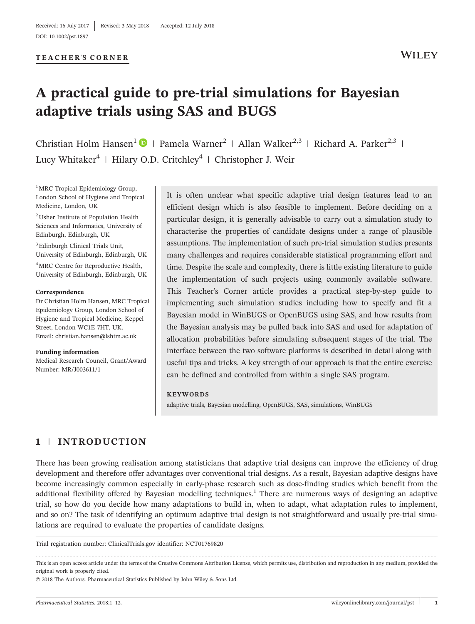[DOI: 10.1002/pst.1897](https://doi.org/10.1002/pst.1897)

#### **TEACHER** '**S CORNER**

# **A practical guide to pre-trial simulations for Bayesian** WILEY **adaptive trials using SAS and BUGS**

Christian Holm Hansen<sup>1</sup>  $\bullet$  | Pamela Warner<sup>2</sup> | Allan Walker<sup>2,3</sup> | Richard A. Parker<sup>2,3</sup> | Lucy Whitaker<sup>4</sup> | Hilary O.D. Critchley<sup>4</sup> | Christopher J. Weir

<sup>1</sup>MRC Tropical Epidemiology Group, London School of Hygiene and Tropical Medicine, London, UK

2 Usher Institute of Population Health Sciences and Informatics, University of Edinburgh, Edinburgh, UK

3 Edinburgh Clinical Trials Unit, University of Edinburgh, Edinburgh, UK

4 MRC Centre for Reproductive Health, University of Edinburgh, Edinburgh, UK

#### **Correspondence**

Dr Christian Holm Hansen, MRC Tropical Epidemiology Group, London School of Hygiene and Tropical Medicine, Keppel Street, London WC1E 7HT, UK. Email: [christian.hansen@lshtm.ac.uk](mailto:christian.hansen@lshtm.ac.uk)

**Funding information** Medical Research Council, Grant/Award Number: MR/J003611/1

It is often unclear what specific adaptive trial design features lead to an efficient design which is also feasible to implement. Before deciding on a particular design, it is generally advisable to carry out a simulation study to characterise the properties of candidate designs under a range of plausible assumptions. The implementation of such pre‐trial simulation studies presents many challenges and requires considerable statistical programming effort and time. Despite the scale and complexity, there is little existing literature to guide the implementation of such projects using commonly available software. This Teacher's Corner article provides a practical step‐by‐step guide to implementing such simulation studies including how to specify and fit a Bayesian model in WinBUGS or OpenBUGS using SAS, and how results from the Bayesian analysis may be pulled back into SAS and used for adaptation of allocation probabilities before simulating subsequent stages of the trial. The interface between the two software platforms is described in detail along with useful tips and tricks. A key strength of our approach is that the entire exercise can be defined and controlled from within a single SAS program.

#### **KEYWORDS**

adaptive trials, Bayesian modelling, OpenBUGS, SAS, simulations, WinBUGS

## **1** | **INTRODUCTION**

There has been growing realisation among statisticians that adaptive trial designs can improve the efficiency of drug development and therefore offer advantages over conventional trial designs. As a result, Bayesian adaptive designs have become increasingly common especially in early‐phase research such as dose‐finding studies which benefit from the additional flexibility offered by Bayesian modelling techniques.<sup>1</sup> There are numerous ways of designing an adaptive trial, so how do you decide how many adaptations to build in, when to adapt, what adaptation rules to implement, and so on? The task of identifying an optimum adaptive trial design is not straightforward and usually pre-trial simulations are required to evaluate the properties of candidate designs.

Trial registration number: [ClinicalTrials.gov](http://ClinicalTrials.gov) identifier: NCT01769820

------------------------------------------------------------------------------------------------------------------------------- - This is an open access article under the terms of the [Creative Commons Attribution](http://creativecommons.org/licenses/by/4.0/) License, which permits use, distribution and reproduction in any medium, provided the original work is properly cited.

<sup>© 2018</sup> The Authors. Pharmaceutical Statistics Published by John Wiley & Sons Ltd.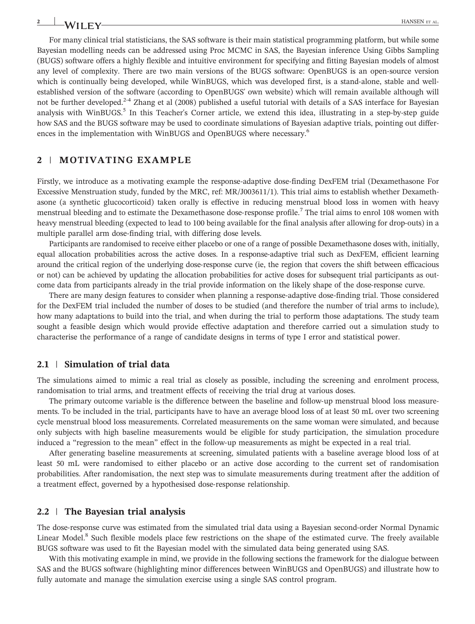For many clinical trial statisticians, the SAS software is their main statistical programming platform, but while some Bayesian modelling needs can be addressed using Proc MCMC in SAS, the Bayesian inference Using Gibbs Sampling (BUGS) software offers a highly flexible and intuitive environment for specifying and fitting Bayesian models of almost any level of complexity. There are two main versions of the BUGS software: OpenBUGS is an open‐source version which is continually being developed, while WinBUGS, which was developed first, is a stand-alone, stable and wellestablished version of the software (according to OpenBUGS' own website) which will remain available although will not be further developed.<sup>2-4</sup> Zhang et al (2008) published a useful tutorial with details of a SAS interface for Bayesian analysis with WinBUGS.<sup>5</sup> In this Teacher's Corner article, we extend this idea, illustrating in a step-by-step guide how SAS and the BUGS software may be used to coordinate simulations of Bayesian adaptive trials, pointing out differences in the implementation with WinBUGS and OpenBUGS where necessary.<sup>6</sup>

## **2** | **MOTIVATING EXAMPLE**

Firstly, we introduce as a motivating example the response-adaptive dose-finding DexFEM trial (Dexamethasone For Excessive Menstruation study, funded by the MRC, ref: MR/J003611/1). This trial aims to establish whether Dexamethasone (a synthetic glucocorticoid) taken orally is effective in reducing menstrual blood loss in women with heavy menstrual bleeding and to estimate the Dexamethasone dose-response profile.<sup>7</sup> The trial aims to enrol 108 women with heavy menstrual bleeding (expected to lead to 100 being available for the final analysis after allowing for drop-outs) in a multiple parallel arm dose-finding trial, with differing dose levels.

Participants are randomised to receive either placebo or one of a range of possible Dexamethasone doses with, initially, equal allocation probabilities across the active doses. In a response-adaptive trial such as DexFEM, efficient learning around the critical region of the underlying dose‐response curve (ie, the region that covers the shift between efficacious or not) can be achieved by updating the allocation probabilities for active doses for subsequent trial participants as outcome data from participants already in the trial provide information on the likely shape of the dose‐response curve.

There are many design features to consider when planning a response‐adaptive dose‐finding trial. Those considered for the DexFEM trial included the number of doses to be studied (and therefore the number of trial arms to include), how many adaptations to build into the trial, and when during the trial to perform those adaptations. The study team sought a feasible design which would provide effective adaptation and therefore carried out a simulation study to characterise the performance of a range of candidate designs in terms of type I error and statistical power.

## **2.1** | **Simulation of trial data**

The simulations aimed to mimic a real trial as closely as possible, including the screening and enrolment process, randomisation to trial arms, and treatment effects of receiving the trial drug at various doses.

The primary outcome variable is the difference between the baseline and follow-up menstrual blood loss measurements. To be included in the trial, participants have to have an average blood loss of at least 50 mL over two screening cycle menstrual blood loss measurements. Correlated measurements on the same woman were simulated, and because only subjects with high baseline measurements would be eligible for study participation, the simulation procedure induced a "regression to the mean" effect in the follow-up measurements as might be expected in a real trial.

After generating baseline measurements at screening, simulated patients with a baseline average blood loss of at least 50 mL were randomised to either placebo or an active dose according to the current set of randomisation probabilities. After randomisation, the next step was to simulate measurements during treatment after the addition of a treatment effect, governed by a hypothesised dose‐response relationship.

### **2.2** | **The Bayesian trial analysis**

The dose-response curve was estimated from the simulated trial data using a Bayesian second-order Normal Dynamic Linear Model.<sup>8</sup> Such flexible models place few restrictions on the shape of the estimated curve. The freely available BUGS software was used to fit the Bayesian model with the simulated data being generated using SAS.

With this motivating example in mind, we provide in the following sections the framework for the dialogue between SAS and the BUGS software (highlighting minor differences between WinBUGS and OpenBUGS) and illustrate how to fully automate and manage the simulation exercise using a single SAS control program.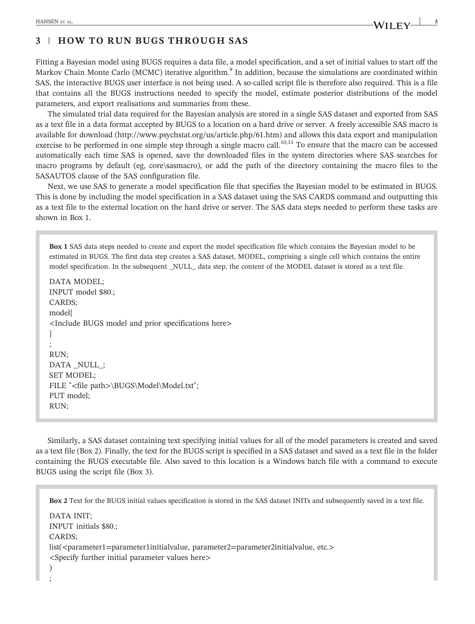# **3** | **HOW TO RUN BUGS THROUGH SAS**

Fitting a Bayesian model using BUGS requires a data file, a model specification, and a set of initial values to start off the Markov Chain Monte Carlo (MCMC) iterative algorithm.<sup>9</sup> In addition, because the simulations are coordinated within SAS, the interactive BUGS user interface is not being used. A so-called script file is therefore also required. This is a file that contains all the BUGS instructions needed to specify the model, estimate posterior distributions of the model parameters, and export realisations and summaries from these.

The simulated trial data required for the Bayesian analysis are stored in a single SAS dataset and exported from SAS as a text file in a data format accepted by BUGS to a location on a hard drive or server. A freely accessible SAS macro is available for download [\(http://www.psychstat.org/us/article.php/61.htm](http://www.psychstat.org/us/article.php/61.htm)) and allows this data export and manipulation exercise to be performed in one simple step through a single macro call.<sup>10,11</sup> To ensure that the macro can be accessed automatically each time SAS is opened, save the downloaded files in the system directories where SAS searches for macro programs by default (eg, core\sasmacro), or add the path of the directory containing the macro files to the SASAUTOS clause of the SAS configuration file.

Next, we use SAS to generate a model specification file that specifies the Bayesian model to be estimated in BUGS. This is done by including the model specification in a SAS dataset using the SAS CARDS command and outputting this as a text file to the external location on the hard drive or server. The SAS data steps needed to perform these tasks are shown in Box 1.

**Box 1** SAS data steps needed to create and export the model specification file which contains the Bayesian model to be estimated in BUGS. The first data step creates a SAS dataset, MODEL, comprising a single cell which contains the entire model specification. In the subsequent \_NULL\_ data step, the content of the MODEL dataset is stored as a text file.

DATA MODEL; INPUT model \$80.; CARDS; model{ <Include BUGS model and prior specifications here> } ; RUN; DATA NULL; SET MODEL; FILE "<file path>\BUGS\Model\Model.txt"; PUT model; RUN;

Similarly, a SAS dataset containing text specifying initial values for all of the model parameters is created and saved as a text file (Box 2). Finally, the text for the BUGS script is specified in a SAS dataset and saved as a text file in the folder containing the BUGS executable file. Also saved to this location is a Windows batch file with a command to execute BUGS using the script file (Box 3).

**Box 2** Text for the BUGS initial values specification is stored in the SAS dataset INITs and subsequently saved in a text file. DATA INIT; INPUT initials \$80.; CARDS; list(<parameter1=parameter1initialvalue, parameter2=parameter2initialvalue, etc.> <Specify further initial parameter values here> ) ;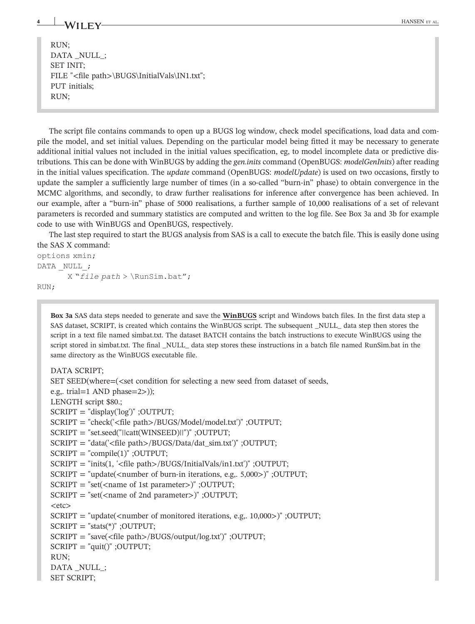RUN; DATA \_NULL\_; SET INIT; FILE "<file path>\BUGS\InitialVals\IN1.txt"; PUT initials; RUN;

The script file contains commands to open up a BUGS log window, check model specifications, load data and compile the model, and set initial values. Depending on the particular model being fitted it may be necessary to generate additional initial values not included in the initial values specification, eg, to model incomplete data or predictive distributions. This can be done with WinBUGS by adding the *gen.inits* command (OpenBUGS: *modelGenInits*) after reading in the initial values specification. The *update* command (OpenBUGS: *modelUpdate*) is used on two occasions, firstly to update the sampler a sufficiently large number of times (in a so-called "burn-in" phase) to obtain convergence in the MCMC algorithms, and secondly, to draw further realisations for inference after convergence has been achieved. In our example, after a "burn‐in" phase of 5000 realisations, a further sample of 10,000 realisations of a set of relevant parameters is recorded and summary statistics are computed and written to the log file. See Box 3a and 3b for example code to use with WinBUGS and OpenBUGS, respectively.

The last step required to start the BUGS analysis from SAS is a call to execute the batch file. This is easily done using the SAS X command:

```
options xmin;
DATA NULL;
      X "file path > \RunSim.bat";RUN;
```
**Box 3a** SAS data steps needed to generate and save the **WinBUGS** script and Windows batch files. In the first data step a SAS dataset, SCRIPT, is created which contains the WinBUGS script. The subsequent \_NULL\_ data step then stores the script in a text file named simbat.txt. The dataset BATCH contains the batch instructions to execute WinBUGS using the script stored in simbat.txt. The final NULL data step stores these instructions in a batch file named RunSim.bat in the same directory as the WinBUGS executable file.

#### DATA SCRIPT;

SET SEED(where=(<set condition for selecting a new seed from dataset of seeds, e.g,. trial=1 AND phase=2>)); LENGTH script \$80.;  $SCRIPT = "display('log")$ ; OUTPUT; SCRIPT = "check('<file path>/BUGS/Model/model.txt')" ;OUTPUT; SCRIPT = "set.seed("||catt(WINSEED)||")" ;OUTPUT; SCRIPT = "data('<file path>/BUGS/Data/dat\_sim.txt')" ;OUTPUT;  $SCRIPT = "compile(1)" ; OUTPUT;$ SCRIPT = "inits(1, '<file path>/BUGS/InitialVals/in1.txt')" ;OUTPUT; SCRIPT = "update(<number of burn‐in iterations, e.g,. 5,000>)" ;OUTPUT;  $SCRIPT = "set( $\times$ name of 1st parameter>)" ; OUTPUT;$ SCRIPT = "set(<name of 2nd parameter>)" ;OUTPUT;  $<$ etc $>$  $SCRIPT = "update(*number of monitored iterations, e.g., 10,000*)"$ ; OUTPUT;  $SCRIPT = "stats(*)"$ ; OUTPUT; SCRIPT = "save(<file path>/BUGS/output/log.txt')" ;OUTPUT;  $SCRIPT = "quit()" ; OUTPUT;$ RUN; DATA NULL ; SET SCRIPT;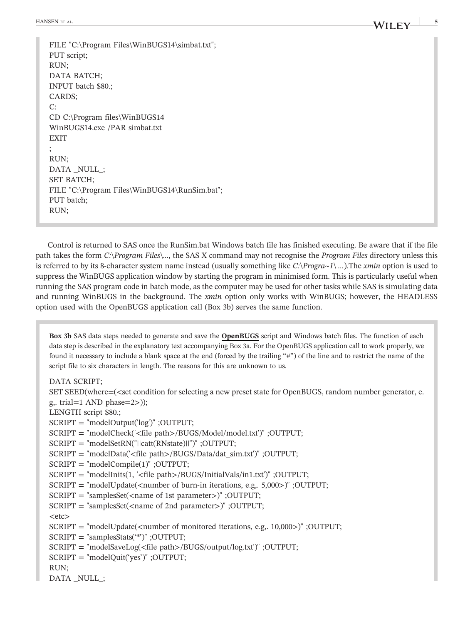HANSEN ET AL. **SPACE AL. 5M**/II **F V** 

FILE "C:\Program Files\WinBUGS14\simbat.txt"; PUT script; RUN; DATA BATCH; INPUT batch \$80.; CARDS;  $\Gamma$ CD C:\Program files\WinBUGS14 WinBUGS14.exe /PAR simbat.txt **EXIT** ; RUN; DATA NULL ; SET BATCH; FILE "C:\Program Files\WinBUGS14\RunSim.bat"; PUT batch; RUN;

Control is returned to SAS once the RunSim.bat Windows batch file has finished executing. Be aware that if the file path takes the form *C:*\*Program Files*\*..*., the SAS X command may not recognise the *Program Files* directory unless this is referred to by its 8‐character system name instead (usually something like *C:*\*Progra~1*\ *…*).The *xmin* option is used to suppress the WinBUGS application window by starting the program in minimised form. This is particularly useful when running the SAS program code in batch mode, as the computer may be used for other tasks while SAS is simulating data and running WinBUGS in the background. The *xmin* option only works with WinBUGS; however, the HEADLESS option used with the OpenBUGS application call (Box 3b) serves the same function.

**Box 3b** SAS data steps needed to generate and save the **OpenBUGS** script and Windows batch files. The function of each data step is described in the explanatory text accompanying Box 3a. For the OpenBUGS application call to work properly, we found it necessary to include a blank space at the end (forced by the trailing "#") of the line and to restrict the name of the script file to six characters in length. The reasons for this are unknown to us.

DATA SCRIPT;

SET SEED(where=(<set condition for selecting a new preset state for OpenBUGS, random number generator, e. g,. trial=1 AND phase=2>));

LENGTH script \$80.;

SCRIPT = "modelOutput('log')" ;OUTPUT;

SCRIPT = "modelCheck('<file path>/BUGS/Model/model.txt')" ;OUTPUT;

SCRIPT = "modelSetRN("||catt(RNstate)||")" ;OUTPUT;

SCRIPT = "modelData('<file path>/BUGS/Data/dat\_sim.txt')" ;OUTPUT;

- SCRIPT = "modelCompile(1)" ;OUTPUT;
- SCRIPT = "modelInits(1, '<file path>/BUGS/InitialVals/in1.txt')" ;OUTPUT;
- $SCRIPT = "modelUpdate(*number of burn-in iterations, e.g., 5,000*)" ; OUTPUT;$
- SCRIPT = "samplesSet(<name of 1st parameter>)" ;OUTPUT;
- SCRIPT = "samplesSet(<name of 2nd parameter>)" ;OUTPUT;

 $<$ etc $>$ 

SCRIPT = "modelUpdate(<number of monitored iterations, e.g,.  $10,000$ >)" ;OUTPUT;

SCRIPT = "samplesStats('\*')" ;OUTPUT;

SCRIPT = "modelSaveLog(<file path>/BUGS/output/log.txt')" ;OUTPUT;

```
SCRIPT = "modelQuit('yes')" ;OUTPUT;
```
RUN;

DATA NULL ;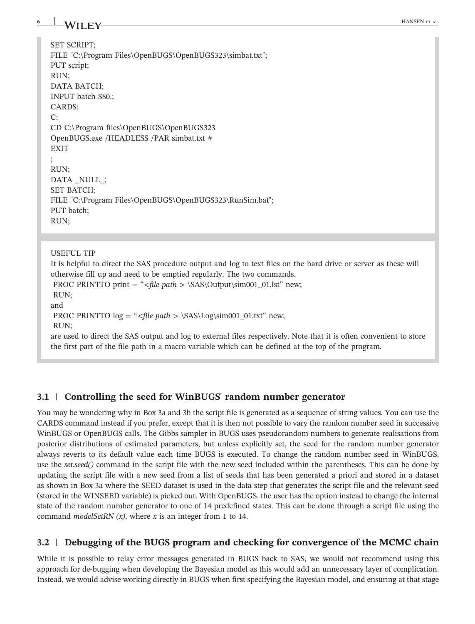| 6 | -WILEY-                                                                                                                                               | HANSEN ET AL |
|---|-------------------------------------------------------------------------------------------------------------------------------------------------------|--------------|
|   |                                                                                                                                                       |              |
|   | SET SCRIPT;                                                                                                                                           |              |
|   | FILE "C:\Program Files\OpenBUGS\OpenBUGS323\simbat.txt";                                                                                              |              |
|   | PUT script;                                                                                                                                           |              |
|   | RUN;                                                                                                                                                  |              |
|   | DATA BATCH;                                                                                                                                           |              |
|   | INPUT batch \$80.;                                                                                                                                    |              |
|   | CARDS;                                                                                                                                                |              |
|   | C:                                                                                                                                                    |              |
|   | CD C:\Program files\OpenBUGS\OpenBUGS323                                                                                                              |              |
|   | OpenBUGS.exe /HEADLESS /PAR simbat.txt #                                                                                                              |              |
|   | <b>EXIT</b>                                                                                                                                           |              |
|   |                                                                                                                                                       |              |
|   | RUN;                                                                                                                                                  |              |
|   | DATA_NULL_;                                                                                                                                           |              |
|   | SET BATCH;                                                                                                                                            |              |
|   | FILE "C:\Program Files\OpenBUGS\OpenBUGS323\RunSim.bat";                                                                                              |              |
|   | PUT batch;                                                                                                                                            |              |
|   | RUN;                                                                                                                                                  |              |
|   |                                                                                                                                                       |              |
|   |                                                                                                                                                       |              |
|   | <b>USEFUL TIP</b>                                                                                                                                     |              |
|   | It is helpful to direct the SAS procedure output and log to text files on the hard drive or server as these will                                      |              |
|   | otherwise fill up and need to be emptied regularly. The two commands.<br>PROC PRINTTO print = " <file path=""> \SAS\Output\sim001_01.lst" new;</file> |              |
|   | RUN;                                                                                                                                                  |              |
|   | and                                                                                                                                                   |              |
|   | PROC PRINTTO $log =$ " <file path=""> \SAS\Log\sim001_01.txt" new;</file>                                                                             |              |
|   | RUN;                                                                                                                                                  |              |
|   | are used to direct the SAS output and log to external files respectively. Note that it is often convenient to store                                   |              |
|   | the first part of the file path in a macro variable which can be defined at the top of the program.                                                   |              |
|   |                                                                                                                                                       |              |

# **3.1** | **Controlling the seed for WinBUGS**' **random number generator**

You may be wondering why in Box 3a and 3b the script file is generated as a sequence of string values. You can use the CARDS command instead if you prefer, except that it is then not possible to vary the random number seed in successive WinBUGS or OpenBUGS calls. The Gibbs sampler in BUGS uses pseudorandom numbers to generate realisations from posterior distributions of estimated parameters, but unless explicitly set, the seed for the random number generator always reverts to its default value each time BUGS is executed. To change the random number seed in WinBUGS, use the *set.seed()* command in the script file with the new seed included within the parentheses. This can be done by updating the script file with a new seed from a list of seeds that has been generated a priori and stored in a dataset as shown in Box 3a where the SEED dataset is used in the data step that generates the script file and the relevant seed (stored in the WINSEED variable) is picked out. With OpenBUGS, the user has the option instead to change the internal state of the random number generator to one of 14 predefined states. This can be done through a script file using the command *modelSetRN (x)*, where *x* is an integer from 1 to 14.

# **3.2** | **Debugging of the BUGS program and checking for convergence of the MCMC chain**

While it is possible to relay error messages generated in BUGS back to SAS, we would not recommend using this approach for de‐bugging when developing the Bayesian model as this would add an unnecessary layer of complication. Instead, we would advise working directly in BUGS when first specifying the Bayesian model, and ensuring at that stage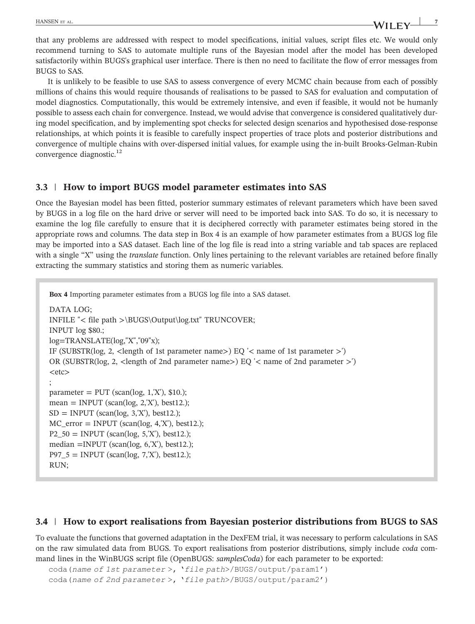that any problems are addressed with respect to model specifications, initial values, script files etc. We would only recommend turning to SAS to automate multiple runs of the Bayesian model after the model has been developed satisfactorily within BUGS's graphical user interface. There is then no need to facilitate the flow of error messages from BUGS to SAS.

It is unlikely to be feasible to use SAS to assess convergence of every MCMC chain because from each of possibly millions of chains this would require thousands of realisations to be passed to SAS for evaluation and computation of model diagnostics. Computationally, this would be extremely intensive, and even if feasible, it would not be humanly possible to assess each chain for convergence. Instead, we would advise that convergence is considered qualitatively during model specification, and by implementing spot checks for selected design scenarios and hypothesised dose-response relationships, at which points it is feasible to carefully inspect properties of trace plots and posterior distributions and convergence of multiple chains with over-dispersed initial values, for example using the in-built Brooks-Gelman-Rubin convergence diagnostic. $^{12}$ 

## **3.3** | **How to import BUGS model parameter estimates into SAS**

Once the Bayesian model has been fitted, posterior summary estimates of relevant parameters which have been saved by BUGS in a log file on the hard drive or server will need to be imported back into SAS. To do so, it is necessary to examine the log file carefully to ensure that it is deciphered correctly with parameter estimates being stored in the appropriate rows and columns. The data step in Box 4 is an example of how parameter estimates from a BUGS log file may be imported into a SAS dataset. Each line of the log file is read into a string variable and tab spaces are replaced with a single "X" using the *translate* function. Only lines pertaining to the relevant variables are retained before finally extracting the summary statistics and storing them as numeric variables.

```
Box 4 Importing parameter estimates from a BUGS log file into a SAS dataset.
DATA LOG;
INFILE "< file path >\BUGS\Output\log.txt" TRUNCOVER;
INPUT log $80.;
log=TRANSLATE(log,"X","09"x);
IF (SUBSTR(log, 2, <length of 1st parameter name>) EQ \leq name of 1st parameter >')
OR (SUBSTR(log, 2, <length of 2nd parameter name>) EQ '< name of 2nd parameter >')
<etc>;
parameter = PUT (scan(log, 1,'X'), $10.);
mean = \text{INPUT} (scan(log, 2, X'), best12.);
SD = INPUT (scan(log, 3, X'), best12.);
MC_error = INPUT (scan(log, 4, 'X'), best12.);P2_50 = \text{INPUT (scan(log, 5,X'), best12.)}median =INPUT (scan(log, 6,'X'), best12.);
P97_5 = INPUT (scan(log, 7,'X'), best12.);
RUN;
```
# **3.4** | **How to export realisations from Bayesian posterior distributions from BUGS to SAS**

To evaluate the functions that governed adaptation in the DexFEM trial, it was necessary to perform calculations in SAS on the raw simulated data from BUGS. To export realisations from posterior distributions, simply include *coda* command lines in the WinBUGS script file (OpenBUGS: *samplesCoda*) for each parameter to be exported:

```
coda(name of 1st parameter >, 'file path>/BUGS/output/param1')
coda(name of 2nd parameter >, 'file path>/BUGS/output/param2')
```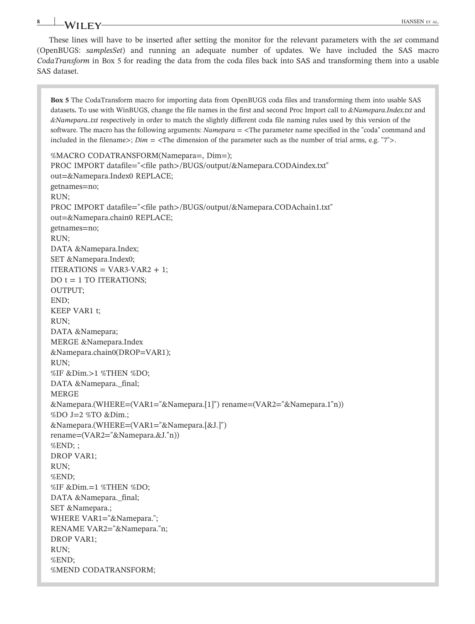# **8** HANSEN ET AL.

These lines will have to be inserted after setting the monitor for the relevant parameters with the *set* command (OpenBUGS: *samplesSet*) and running an adequate number of updates. We have included the SAS macro *CodaTransform* in Box 5 for reading the data from the coda files back into SAS and transforming them into a usable SAS dataset.

**Box 5** The CodaTransform macro for importing data from OpenBUGS coda files and transforming them into usable SAS datasets**.** To use with WinBUGS, change the file names in the first and second Proc Import call to *&Namepara.Index.txt* and *&Namepara..txt* respectively in order to match the slightly different coda file naming rules used by this version of the software. The macro has the following arguments: *Namepara* = <The parameter name specified in the "coda" command and included in the filename $\geq$ ; *Dim* = <The dimension of the parameter such as the number of trial arms, e.g. "7" $\geq$ .

```
%MACRO CODATRANSFORM(Namepara=, Dim=);
PROC IMPORT datafile="<file path>/BUGS/output/&Namepara.CODAindex.txt"
out=&Namepara.Index0 REPLACE;
getnames=no;
RUN;
PROC IMPORT datafile="<file path>/BUGS/output/&Namepara.CODAchain1.txt"
out=&Namepara.chain0 REPLACE;
getnames=no;
RUN;
DATA &Namepara.Index;
SET &Namepara.Index0;
ITERATIONS = VAR3-VAR2 + 1;
DO t = 1 TO ITERATIONS;
OUTPUT;
END;
KEEP VAR1 t;
RUN;
DATA &Namepara;
MERGE &Namepara.Index
&Namepara.chain0(DROP=VAR1);
RUN;
%IF &Dim.>1 %THEN %DO;
DATA &Namepara._final;
MERGE
&Namepara.(WHERE=(VAR1="&Namepara.[1]") rename=(VAR2="&Namepara.1"n))
%DO J=2 %TO &Dim.;
&Namepara.(WHERE=(VAR1="&Namepara.[&J.]")
rename=(VAR2="&Namepara.&J."n))
%END; ;
DROP VAR1;
RUN;
%END;
%IF &Dim.=1 %THEN %DO;
DATA &Namepara._final;
SET &Namepara.;
WHERE VAR1="&Namepara.";
RENAME VAR2="&Namepara."n;
DROP VAR1;
RUN;
%END;
%MEND CODATRANSFORM;
```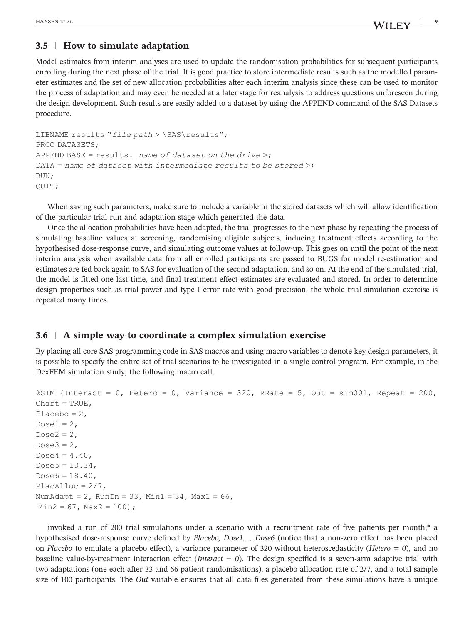# **3.5** | **How to simulate adaptation**

Model estimates from interim analyses are used to update the randomisation probabilities for subsequent participants enrolling during the next phase of the trial. It is good practice to store intermediate results such as the modelled parameter estimates and the set of new allocation probabilities after each interim analysis since these can be used to monitor the process of adaptation and may even be needed at a later stage for reanalysis to address questions unforeseen during the design development. Such results are easily added to a dataset by using the APPEND command of the SAS Datasets procedure.

```
LIBNAME results "file path > \SAS\results";
PROC DATASETS;
APPEND BASE = results. name of dataset on the drive >;
DATA = name of dataset with intermediate results to be stored;
RUN;
QUIT;
```
When saving such parameters, make sure to include a variable in the stored datasets which will allow identification of the particular trial run and adaptation stage which generated the data.

Once the allocation probabilities have been adapted, the trial progresses to the next phase by repeating the process of simulating baseline values at screening, randomising eligible subjects, inducing treatment effects according to the hypothesised dose-response curve, and simulating outcome values at follow-up. This goes on until the point of the next interim analysis when available data from all enrolled participants are passed to BUGS for model re‐estimation and estimates are fed back again to SAS for evaluation of the second adaptation, and so on. At the end of the simulated trial, the model is fitted one last time, and final treatment effect estimates are evaluated and stored. In order to determine design properties such as trial power and type I error rate with good precision, the whole trial simulation exercise is repeated many times.

## **3.6** | **A simple way to coordinate a complex simulation exercise**

By placing all core SAS programming code in SAS macros and using macro variables to denote key design parameters, it is possible to specify the entire set of trial scenarios to be investigated in a single control program. For example, in the DexFEM simulation study, the following macro call.

```
\S SIM (Interact = 0, Hetero = 0, Variance = 320, RRate = 5, Out = sim001, Repeat = 200,
Chart = TRUE,Placebo = 2,
Dose1 = 2,
Dose2 = 2,
Dose3 = 2,
Dose4 = 4.40,
Dose5 = 13.34,
Dose6 = 18.40,
PlacAlloc = 2/7,
NumAdapt = 2, RunIn = 33, Min1 = 34, Max1 = 66,
Min2 = 67, Max2 = 100;
```
invoked a run of 200 trial simulations under a scenario with a recruitment rate of five patients per month,\* a hypothesised dose-response curve defined by *Placebo, Dose1,..., Dose6* (notice that a non-zero effect has been placed on *Placebo* to emulate a placebo effect), a variance parameter of 320 without heteroscedasticity (*Hetero = 0*), and no baseline value-by-treatment interaction effect (*Interact = 0*). The design specified is a seven-arm adaptive trial with two adaptations (one each after 33 and 66 patient randomisations), a placebo allocation rate of 2/7, and a total sample size of 100 participants. The *Out* variable ensures that all data files generated from these simulations have a unique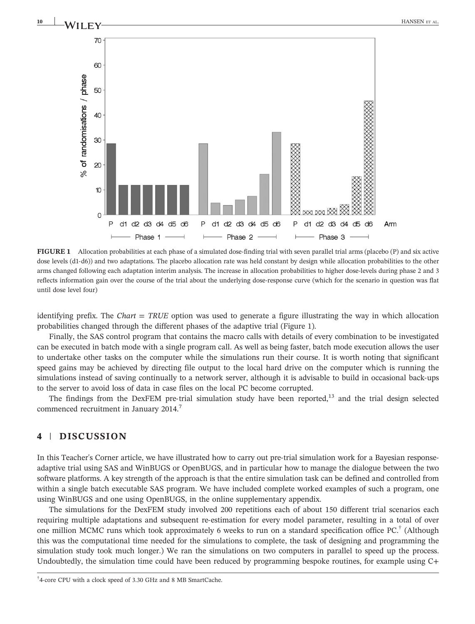



FIGURE 1 Allocation probabilities at each phase of a simulated dose-finding trial with seven parallel trial arms (placebo (P) and six active dose levels (d1-d6)) and two adaptations. The placebo allocation rate was held constant by design while allocation probabilities to the other arms changed following each adaptation interim analysis. The increase in allocation probabilities to higher dose‐levels during phase 2 and 3 reflects information gain over the course of the trial about the underlying dose‐response curve (which for the scenario in question was flat until dose level four)

identifying prefix. The *Chart = TRUE* option was used to generate a figure illustrating the way in which allocation probabilities changed through the different phases of the adaptive trial (Figure 1).

Finally, the SAS control program that contains the macro calls with details of every combination to be investigated can be executed in batch mode with a single program call. As well as being faster, batch mode execution allows the user to undertake other tasks on the computer while the simulations run their course. It is worth noting that significant speed gains may be achieved by directing file output to the local hard drive on the computer which is running the simulations instead of saving continually to a network server, although it is advisable to build in occasional back-ups to the server to avoid loss of data in case files on the local PC become corrupted.

The findings from the DexFEM pre-trial simulation study have been reported,<sup>13</sup> and the trial design selected commenced recruitment in January 2014.<sup>7</sup>

## **4** | **DISCUSSION**

In this Teacher's Corner article, we have illustrated how to carry out pre-trial simulation work for a Bayesian responseadaptive trial using SAS and WinBUGS or OpenBUGS, and in particular how to manage the dialogue between the two software platforms. A key strength of the approach is that the entire simulation task can be defined and controlled from within a single batch executable SAS program. We have included complete worked examples of such a program, one using WinBUGS and one using OpenBUGS, in the online supplementary appendix.

The simulations for the DexFEM study involved 200 repetitions each of about 150 different trial scenarios each requiring multiple adaptations and subsequent re‐estimation for every model parameter, resulting in a total of over one million MCMC runs which took approximately 6 weeks to run on a standard specification office PC.† (Although this was the computational time needed for the simulations to complete, the task of designing and programming the simulation study took much longer.) We ran the simulations on two computers in parallel to speed up the process. Undoubtedly, the simulation time could have been reduced by programming bespoke routines, for example using C+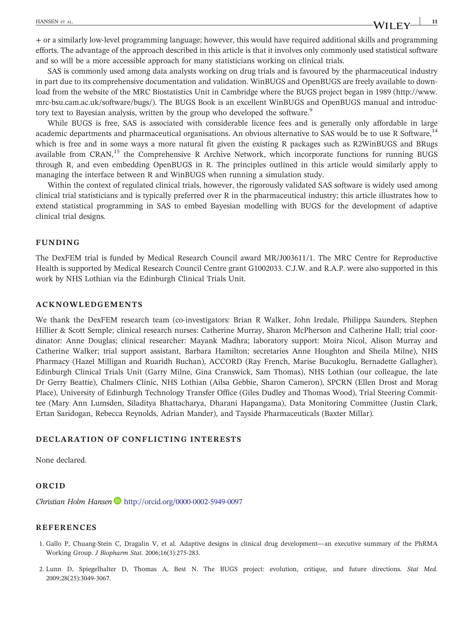+ or a similarly low‐level programming language; however, this would have required additional skills and programming efforts. The advantage of the approach described in this article is that it involves only commonly used statistical software and so will be a more accessible approach for many statisticians working on clinical trials.

SAS is commonly used among data analysts working on drug trials and is favoured by the pharmaceutical industry in part due to its comprehensive documentation and validation. WinBUGS and OpenBUGS are freely available to download from the website of the MRC Biostatistics Unit in Cambridge where the BUGS project began in 1989 ([http://www.](http://www.mrc-bsu.cam.ac.uk/software/bugs) mrc-[bsu.cam.ac.uk/software/bugs/\)](http://www.mrc-bsu.cam.ac.uk/software/bugs). The BUGS Book is an excellent WinBUGS and OpenBUGS manual and introductory text to Bayesian analysis, written by the group who developed the software.<sup>9</sup>

While BUGS is free, SAS is associated with considerable licence fees and is generally only affordable in large academic departments and pharmaceutical organisations. An obvious alternative to SAS would be to use R Software,<sup>14</sup> which is free and in some ways a more natural fit given the existing R packages such as R2WinBUGS and BRugs available from CRAN,<sup>15</sup> the Comprehensive R Archive Network, which incorporate functions for running BUGS through R, and even embedding OpenBUGS in R. The principles outlined in this article would similarly apply to managing the interface between R and WinBUGS when running a simulation study.

Within the context of regulated clinical trials, however, the rigorously validated SAS software is widely used among clinical trial statisticians and is typically preferred over R in the pharmaceutical industry; this article illustrates how to extend statistical programming in SAS to embed Bayesian modelling with BUGS for the development of adaptive clinical trial designs.

#### **FUNDING**

The DexFEM trial is funded by Medical Research Council award MR/J003611/1. The MRC Centre for Reproductive Health is supported by Medical Research Council Centre grant G1002033. C.J.W. and R.A.P. were also supported in this work by NHS Lothian via the Edinburgh Clinical Trials Unit.

#### **ACKNOWLEDGEMENTS**

We thank the DexFEM research team (co-investigators: Brian R Walker, John Iredale, Philippa Saunders, Stephen Hillier & Scott Semple; clinical research nurses: Catherine Murray, Sharon McPherson and Catherine Hall; trial coordinator: Anne Douglas; clinical researcher: Mayank Madhra; laboratory support: Moira Nicol, Alison Murray and Catherine Walker; trial support assistant, Barbara Hamilton; secretaries Anne Houghton and Sheila Milne), NHS Pharmacy (Hazel Milligan and Ruaridh Buchan), ACCORD (Ray French, Marise Bucukoglu, Bernadette Gallagher), Edinburgh Clinical Trials Unit (Garry Milne, Gina Cranswick, Sam Thomas), NHS Lothian (our colleague, the late Dr Gerry Beattie), Chalmers Clinic, NHS Lothian (Ailsa Gebbie, Sharon Cameron), SPCRN (Ellen Drost and Morag Place), University of Edinburgh Technology Transfer Office (Giles Dudley and Thomas Wood), Trial Steering Committee (Mary Ann Lumsden, Siladitya Bhattacharya, Dharani Hapangama), Data Monitoring Committee (Justin Clark, Ertan Saridogan, Rebecca Reynolds, Adrian Mander), and Tayside Pharmaceuticals (Baxter Millar).

## **DECLARATION OF CONFLICTING INTERESTS**

None declared.

#### **ORCID**

*Christian Holm Hansen* <http://orcid.org/0000-0002-5949-0097>

#### **REFERENCES**

- 1. Gallo P, Chuang‐Stein C, Dragalin V, et al. Adaptive designs in clinical drug development—an executive summary of the PhRMA Working Group. *J Biopharm Stat*. 2006;16(3):275‐283.
- 2. Lunn D, Spiegelhalter D, Thomas A, Best N. The BUGS project: evolution, critique, and future directions. *Stat Med*. 2009;28(25):3049‐3067.